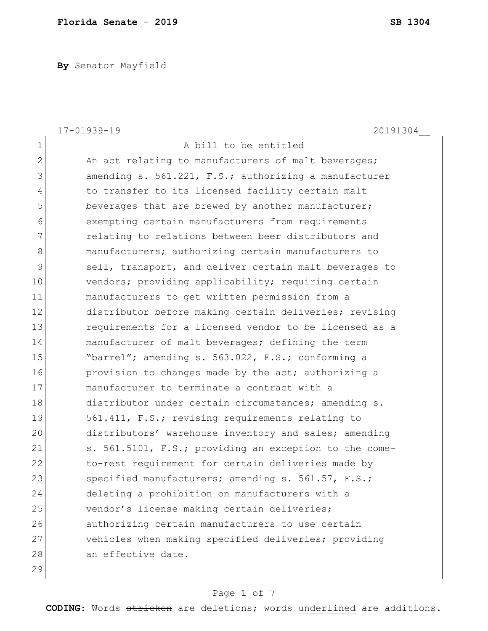**By** Senator Mayfield

|                | 17-01939-19<br>20191304                                |
|----------------|--------------------------------------------------------|
| $\mathbf 1$    | A bill to be entitled                                  |
| $\mathbf{2}$   | An act relating to manufacturers of malt beverages;    |
| 3              | amending s. 561.221, F.S.; authorizing a manufacturer  |
| $\overline{4}$ | to transfer to its licensed facility certain malt      |
| 5              | beverages that are brewed by another manufacturer;     |
| 6              | exempting certain manufacturers from requirements      |
| 7              | relating to relations between beer distributors and    |
| 8              | manufacturers; authorizing certain manufacturers to    |
| $\mathcal{G}$  | sell, transport, and deliver certain malt beverages to |
| 10             | vendors; providing applicability; requiring certain    |
| 11             | manufacturers to get written permission from a         |
| 12             | distributor before making certain deliveries; revising |
| 13             | requirements for a licensed vendor to be licensed as a |
| 14             | manufacturer of malt beverages; defining the term      |
| 15             | "barrel"; amending s. 563.022, F.S.; conforming a      |
| 16             | provision to changes made by the act; authorizing a    |
| 17             | manufacturer to terminate a contract with a            |
| 18             | distributor under certain circumstances; amending s.   |
| 19             | 561.411, F.S.; revising requirements relating to       |
| 20             | distributors' warehouse inventory and sales; amending  |
| 21             | s. 561.5101, F.S.; providing an exception to the come- |
| 22             | to-rest requirement for certain deliveries made by     |
| 23             | specified manufacturers; amending s. 561.57, F.S.;     |
| 24             | deleting a prohibition on manufacturers with a         |
| 25             | vendor's license making certain deliveries;            |
| 26             | authorizing certain manufacturers to use certain       |
| 27             | vehicles when making specified deliveries; providing   |
| 28             | an effective date.                                     |
| 29             |                                                        |

# Page 1 of 7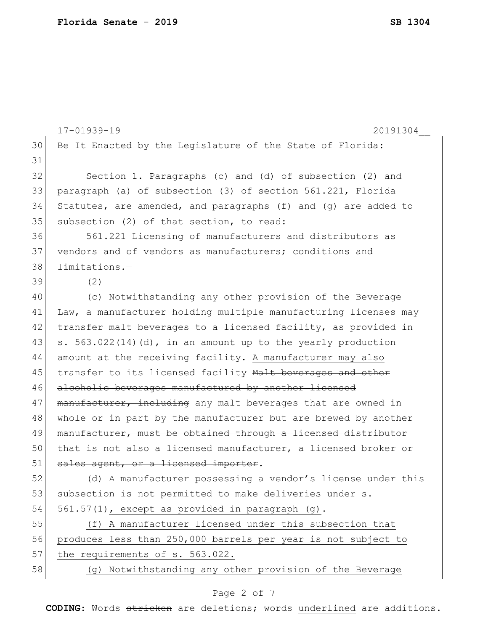|    | 17-01939-19<br>20191304                                         |
|----|-----------------------------------------------------------------|
| 30 | Be It Enacted by the Legislature of the State of Florida:       |
| 31 |                                                                 |
| 32 | Section 1. Paragraphs (c) and (d) of subsection (2) and         |
| 33 | paragraph (a) of subsection (3) of section 561.221, Florida     |
| 34 | Statutes, are amended, and paragraphs (f) and (g) are added to  |
| 35 | subsection (2) of that section, to read:                        |
| 36 | 561.221 Licensing of manufacturers and distributors as          |
| 37 | vendors and of vendors as manufacturers; conditions and         |
| 38 | limitations.-                                                   |
| 39 | (2)                                                             |
| 40 | (c) Notwithstanding any other provision of the Beverage         |
| 41 | Law, a manufacturer holding multiple manufacturing licenses may |
| 42 | transfer malt beverages to a licensed facility, as provided in  |
| 43 | s. $563.022(14)(d)$ , in an amount up to the yearly production  |
| 44 | amount at the receiving facility. A manufacturer may also       |
| 45 | transfer to its licensed facility Malt beverages and other      |
| 46 | alcoholic beverages manufactured by another licensed            |
| 47 | manufacturer, including any malt beverages that are owned in    |
| 48 | whole or in part by the manufacturer but are brewed by another  |
| 49 | manufacturer, must be obtained through a licensed distributor   |
| 50 | that is not also a licensed manufacturer, a licensed broker or  |
| 51 | sales agent, or a licensed importer.                            |
| 52 | (d) A manufacturer possessing a vendor's license under this     |
| 53 | subsection is not permitted to make deliveries under s.         |
| 54 | 561.57(1), except as provided in paragraph (g).                 |
| 55 | (f) A manufacturer licensed under this subsection that          |
| 56 | produces less than 250,000 barrels per year is not subject to   |
| 57 | the requirements of s. 563.022.                                 |
| 58 | (g) Notwithstanding any other provision of the Beverage         |
|    |                                                                 |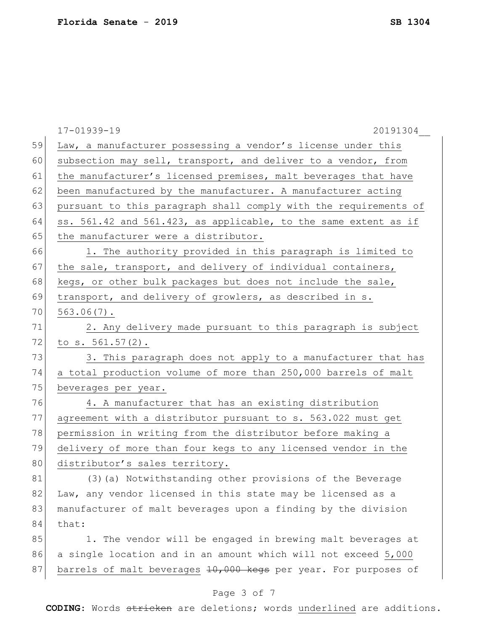|    | 17-01939-19<br>20191304                                          |
|----|------------------------------------------------------------------|
| 59 | Law, a manufacturer possessing a vendor's license under this     |
| 60 | subsection may sell, transport, and deliver to a vendor, from    |
| 61 | the manufacturer's licensed premises, malt beverages that have   |
| 62 | been manufactured by the manufacturer. A manufacturer acting     |
| 63 | pursuant to this paragraph shall comply with the requirements of |
| 64 | ss. 561.42 and 561.423, as applicable, to the same extent as if  |
| 65 | the manufacturer were a distributor.                             |
| 66 | 1. The authority provided in this paragraph is limited to        |
| 67 | the sale, transport, and delivery of individual containers,      |
| 68 | kegs, or other bulk packages but does not include the sale,      |
| 69 | transport, and delivery of growlers, as described in s.          |
| 70 | $563.06(7)$ .                                                    |
| 71 | 2. Any delivery made pursuant to this paragraph is subject       |
| 72 | to $s. 561.57(2)$ .                                              |
| 73 | 3. This paragraph does not apply to a manufacturer that has      |
| 74 | a total production volume of more than 250,000 barrels of malt   |
| 75 | beverages per year.                                              |
| 76 | 4. A manufacturer that has an existing distribution              |
| 77 | agreement with a distributor pursuant to s. 563.022 must get     |
| 78 | permission in writing from the distributor before making a       |
| 79 | delivery of more than four kegs to any licensed vendor in the    |
| 80 | distributor's sales territory.                                   |
| 81 | (3) (a) Notwithstanding other provisions of the Beverage         |
| 82 | Law, any vendor licensed in this state may be licensed as a      |
| 83 | manufacturer of malt beverages upon a finding by the division    |
| 84 | that:                                                            |
| 85 | 1. The vendor will be engaged in brewing malt beverages at       |
| 86 | a single location and in an amount which will not exceed 5,000   |
| 87 | barrels of malt beverages 10,000 kegs per year. For purposes of  |
|    |                                                                  |

# Page 3 of 7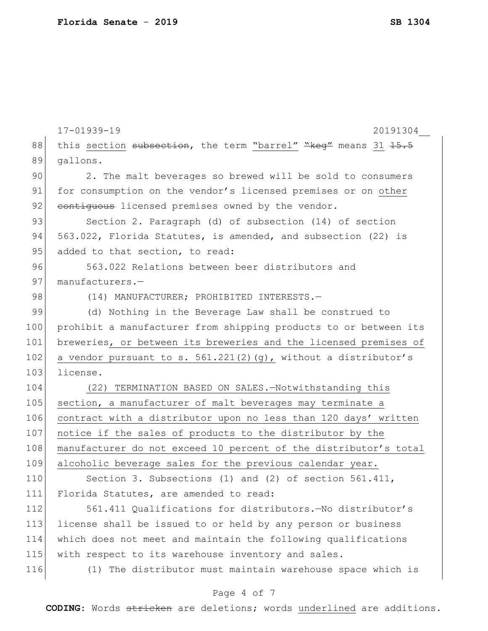|     | $17 - 01939 - 19$<br>20191304                                     |
|-----|-------------------------------------------------------------------|
| 88  | this section subsection, the term "barrel" "keg" means 31 15.5    |
| 89  | gallons.                                                          |
| 90  | 2. The malt beverages so brewed will be sold to consumers         |
| 91  | for consumption on the vendor's licensed premises or on other     |
| 92  | contiguous licensed premises owned by the vendor.                 |
| 93  | Section 2. Paragraph (d) of subsection (14) of section            |
| 94  | 563.022, Florida Statutes, is amended, and subsection (22) is     |
| 95  | added to that section, to read:                                   |
| 96  | 563.022 Relations between beer distributors and                   |
| 97  | manufacturers.-                                                   |
| 98  | (14) MANUFACTURER; PROHIBITED INTERESTS.-                         |
| 99  | (d) Nothing in the Beverage Law shall be construed to             |
| 100 | prohibit a manufacturer from shipping products to or between its  |
| 101 | breweries, or between its breweries and the licensed premises of  |
| 102 | a vendor pursuant to s. $561.221(2)$ (g), without a distributor's |
| 103 | license.                                                          |
| 104 | TERMINATION BASED ON SALES.-Notwithstanding this<br>(22)          |
| 105 | section, a manufacturer of malt beverages may terminate a         |
| 106 | contract with a distributor upon no less than 120 days' written   |
| 107 | notice if the sales of products to the distributor by the         |
| 108 | manufacturer do not exceed 10 percent of the distributor's total  |
| 109 | alcoholic beverage sales for the previous calendar year.          |
| 110 | Section 3. Subsections (1) and (2) of section 561.411,            |
| 111 | Florida Statutes, are amended to read:                            |
| 112 | 561.411 Qualifications for distributors. - No distributor's       |
| 113 | license shall be issued to or held by any person or business      |
| 114 | which does not meet and maintain the following qualifications     |
| 115 | with respect to its warehouse inventory and sales.                |
| 116 | (1) The distributor must maintain warehouse space which is        |
|     |                                                                   |

# Page 4 of 7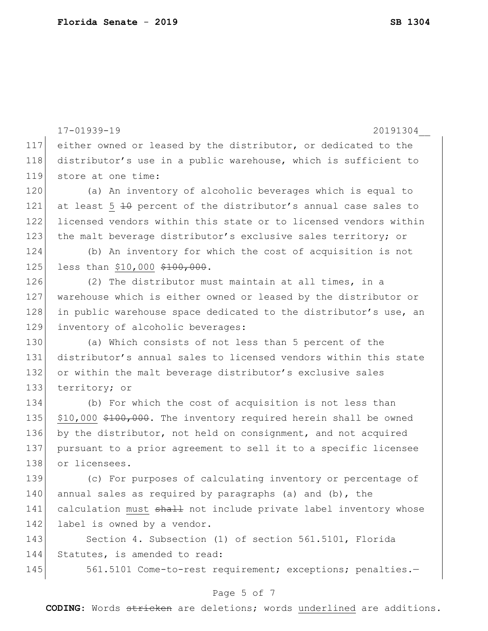```
17-01939-19 20191304__
117 either owned or leased by the distributor, or dedicated to the 
118 distributor's use in a public warehouse, which is sufficient to 
119 store at one time:
120 (a) An inventory of alcoholic beverages which is equal to 
121 at least 5 \pm0 percent of the distributor's annual case sales to
122 licensed vendors within this state or to licensed vendors within 
123 the malt beverage distributor's exclusive sales territory; or
124 (b) An inventory for which the cost of acquisition is not 
125 less than $10,000 $100,000.
126 (2) The distributor must maintain at all times, in a
127 warehouse which is either owned or leased by the distributor or 
128 in public warehouse space dedicated to the distributor's use, an
129 inventory of alcoholic beverages:
130 (a) Which consists of not less than 5 percent of the
131 distributor's annual sales to licensed vendors within this state 
132 or within the malt beverage distributor's exclusive sales
133 territory; or
134 (b) For which the cost of acquisition is not less than 
135 $10,000 $100,000. The inventory required herein shall be owned
136 by the distributor, not held on consignment, and not acquired 
137 pursuant to a prior agreement to sell it to a specific licensee 
138 or licensees.
139 (c) For purposes of calculating inventory or percentage of 
140 annual sales as required by paragraphs (a) and (b), the
141 calculation must shall not include private label inventory whose
142 label is owned by a vendor.
143 Section 4. Subsection (1) of section 561.5101, Florida
144 Statutes, is amended to read:
145 561.5101 Come-to-rest requirement; exceptions; penalties.-
```
### Page 5 of 7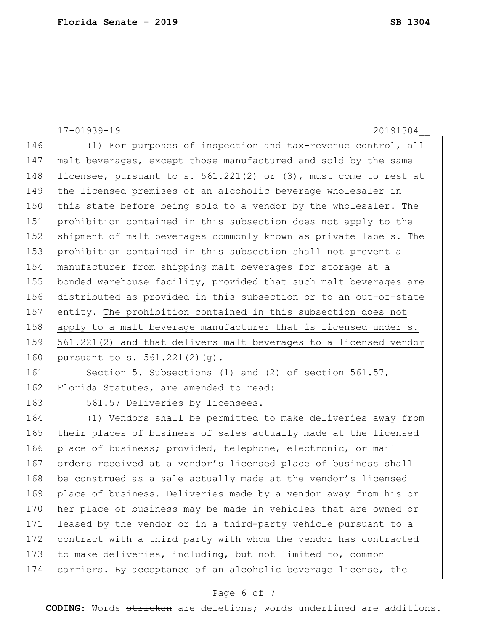```
17-01939-19 20191304__
146 (1) For purposes of inspection and tax-revenue control, all
147 malt beverages, except those manufactured and sold by the same 
148 licensee, pursuant to s. 561.221(2) or (3), must come to rest at
149 the licensed premises of an alcoholic beverage wholesaler in 
150 this state before being sold to a vendor by the wholesaler. The
151 prohibition contained in this subsection does not apply to the 
152 shipment of malt beverages commonly known as private labels. The
153 prohibition contained in this subsection shall not prevent a 
154 manufacturer from shipping malt beverages for storage at a 
155 bonded warehouse facility, provided that such malt beverages are 
156 distributed as provided in this subsection or to an out-of-state 
157 entity. The prohibition contained in this subsection does not 
158 apply to a malt beverage manufacturer that is licensed under s.
159 561.221(2) and that delivers malt beverages to a licensed vendor 
160 pursuant to s. 561.221(2)(g).
161 Section 5. Subsections (1) and (2) of section 561.57,
```
162 Florida Statutes, are amended to read:

163 561.57 Deliveries by licensees.-

164 (1) Vendors shall be permitted to make deliveries away from 165 their places of business of sales actually made at the licensed 166 place of business; provided, telephone, electronic, or mail 167 orders received at a vendor's licensed place of business shall 168 be construed as a sale actually made at the vendor's licensed 169 place of business. Deliveries made by a vendor away from his or 170 her place of business may be made in vehicles that are owned or 171 leased by the vendor or in a third-party vehicle pursuant to a 172 contract with a third party with whom the vendor has contracted 173 to make deliveries, including, but not limited to, common 174 carriers. By acceptance of an alcoholic beverage license, the

## Page 6 of 7